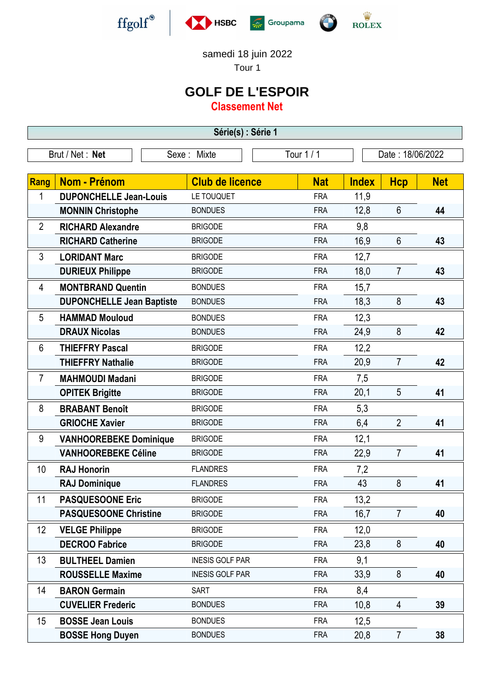







samedi 18 juin 2022

Tour 1

## **GOLF DE L'ESPOIR**

**Classement Net**

**Série(s) : Série 1**

| Brut / Net: Net |                                  | Tour 1 / 1<br>Sexe: Mixte |            | Date: 18/06/2022 |                |            |
|-----------------|----------------------------------|---------------------------|------------|------------------|----------------|------------|
|                 |                                  |                           |            |                  |                |            |
| Rang            | <b>Nom - Prénom</b>              | <b>Club de licence</b>    | <b>Nat</b> | <b>Index</b>     | <b>Hcp</b>     | <b>Net</b> |
| 1               | <b>DUPONCHELLE Jean-Louis</b>    | LE TOUQUET                | <b>FRA</b> | 11,9             |                |            |
|                 | <b>MONNIN Christophe</b>         | <b>BONDUES</b>            | <b>FRA</b> | 12,8             | $6\phantom{1}$ | 44         |
| $\overline{2}$  | <b>RICHARD Alexandre</b>         | <b>BRIGODE</b>            | <b>FRA</b> | 9,8              |                |            |
|                 | <b>RICHARD Catherine</b>         | <b>BRIGODE</b>            | <b>FRA</b> | 16,9             | $6\phantom{1}$ | 43         |
| 3               | <b>LORIDANT Marc</b>             | <b>BRIGODE</b>            | <b>FRA</b> | 12,7             |                |            |
|                 | <b>DURIEUX Philippe</b>          | <b>BRIGODE</b>            | <b>FRA</b> | 18,0             | $\overline{7}$ | 43         |
| 4               | <b>MONTBRAND Quentin</b>         | <b>BONDUES</b>            | <b>FRA</b> | 15,7             |                |            |
|                 | <b>DUPONCHELLE Jean Baptiste</b> | <b>BONDUES</b>            | <b>FRA</b> | 18,3             | 8              | 43         |
| 5               | <b>HAMMAD Mouloud</b>            | <b>BONDUES</b>            | <b>FRA</b> | 12,3             |                |            |
|                 | <b>DRAUX Nicolas</b>             | <b>BONDUES</b>            | <b>FRA</b> | 24,9             | 8              | 42         |
| 6               | <b>THIEFFRY Pascal</b>           | <b>BRIGODE</b>            | <b>FRA</b> | 12,2             |                |            |
|                 | <b>THIEFFRY Nathalie</b>         | <b>BRIGODE</b>            | <b>FRA</b> | 20,9             | $\overline{7}$ | 42         |
| $\overline{7}$  | <b>MAHMOUDI Madani</b>           | <b>BRIGODE</b>            | <b>FRA</b> | 7,5              |                |            |
|                 | <b>OPITEK Brigitte</b>           | <b>BRIGODE</b>            | <b>FRA</b> | 20,1             | 5              | 41         |
| 8               | <b>BRABANT Benoît</b>            | <b>BRIGODE</b>            | <b>FRA</b> | 5,3              |                |            |
|                 | <b>GRIOCHE Xavier</b>            | <b>BRIGODE</b>            | <b>FRA</b> | 6,4              | $\overline{2}$ | 41         |
| 9               | <b>VANHOOREBEKE Dominique</b>    | <b>BRIGODE</b>            | <b>FRA</b> | 12,1             |                |            |
|                 | <b>VANHOOREBEKE Céline</b>       | <b>BRIGODE</b>            | <b>FRA</b> | 22,9             | $\overline{7}$ | 41         |
| 10              | <b>RAJ Honorin</b>               | <b>FLANDRES</b>           | <b>FRA</b> | 7,2              |                |            |
|                 | <b>RAJ Dominique</b>             | <b>FLANDRES</b>           | <b>FRA</b> | 43               | 8              | 41         |
| 11              | <b>PASQUESOONE Eric</b>          | <b>BRIGODE</b>            | <b>FRA</b> | 13,2             |                |            |
|                 | <b>PASQUESOONE Christine</b>     | <b>BRIGODE</b>            | <b>FRA</b> | 16,7             | $\overline{7}$ | 40         |
| 12              | <b>VELGE Philippe</b>            | <b>BRIGODE</b>            | <b>FRA</b> | 12,0             |                |            |
|                 | <b>DECROO Fabrice</b>            | <b>BRIGODE</b>            | <b>FRA</b> | 23,8             | 8              | 40         |
| 13              | <b>BULTHEEL Damien</b>           | <b>INESIS GOLF PAR</b>    | <b>FRA</b> | 9,1              |                |            |
|                 | <b>ROUSSELLE Maxime</b>          | <b>INESIS GOLF PAR</b>    | <b>FRA</b> | 33,9             | 8              | 40         |
| 14              | <b>BARON Germain</b>             | <b>SART</b>               | <b>FRA</b> | 8,4              |                |            |
|                 | <b>CUVELIER Frederic</b>         | <b>BONDUES</b>            | <b>FRA</b> | 10,8             | $\overline{4}$ | 39         |
| 15              | <b>BOSSE Jean Louis</b>          | <b>BONDUES</b>            | <b>FRA</b> | 12,5             |                |            |
|                 | <b>BOSSE Hong Duyen</b>          | <b>BONDUES</b>            | <b>FRA</b> | 20,8             | $\overline{7}$ | 38         |